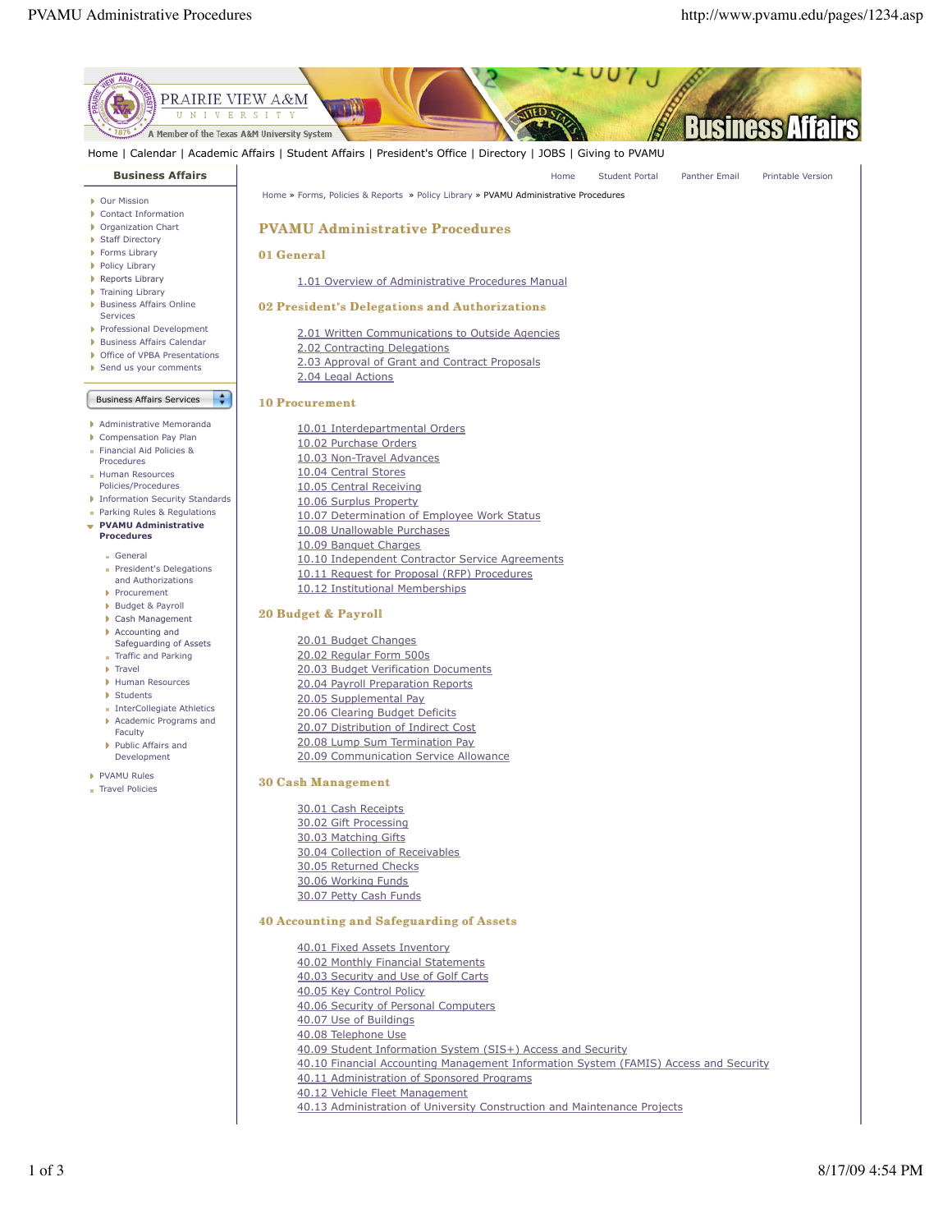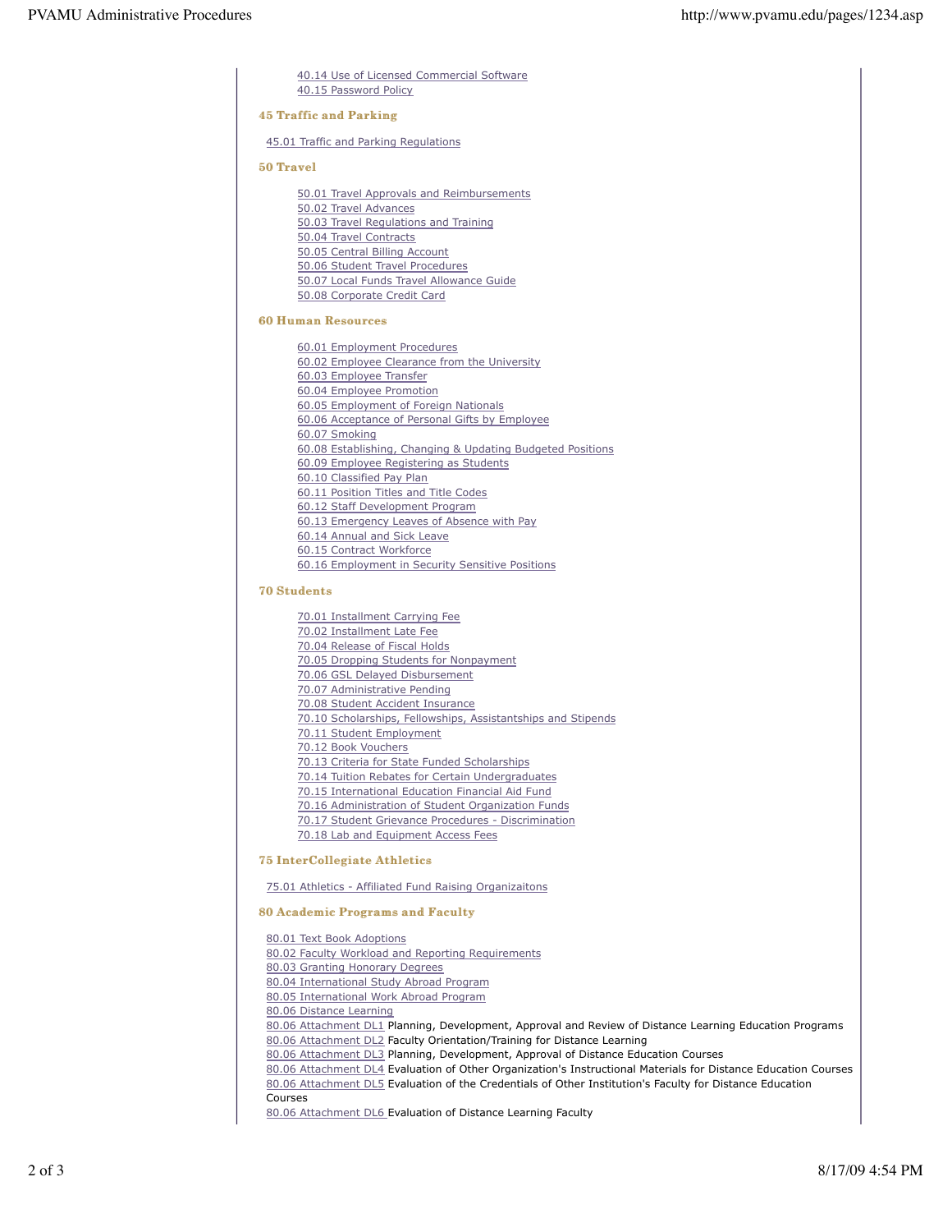40.14 Use of Licensed Commercial Software 40.15 Password Policy

### **45 Traffic and Parking**

45.01 Traffic and Parking Regulations

#### 50 Travel

50.01 Travel Approvals and Reimbursements 50.02 Travel Advances 50.03 Travel Regulations and Training 50.04 Travel Contracts 50.05 Central Billing Account 50.06 Student Travel Procedures 50.07 Local Funds Travel Allowance Guide 50.08 Corporate Credit Card

#### **60 Human Resources**

60.01 Employment Procedures 60.02 Employee Clearance from the University 60.03 Employee Transfer 60.04 Employee Promotion 60.05 Employment of Foreign Nationals 60.06 Acceptance of Personal Gifts by Employee 60.07 Smoking 60.08 Establishing, Changing & Updating Budgeted Positions 60.09 Employee Registering as Students 60.10 Classified Pay Plan 60.11 Position Titles and Title Codes 60.12 Staff Development Program 60.13 Emergency Leaves of Absence with Pay 60.14 Annual and Sick Leave 60.15 Contract Workforce 60.16 Employment in Security Sensitive Positions

## **70 Students**

- 70.01 Installment Carrying Fee 70.02 Installment Late Fee 70.04 Release of Fiscal Holds 70.05 Dropping Students for Nonpayment 70.06 GSL Delayed Disbursement 70.07 Administrative Pending 70.08 Student Accident Insurance 70.10 Scholarships, Fellowships, Assistantships and Stipends 70.11 Student Employment 70.12 Book Vouchers 70.13 Criteria for State Funded Scholarships 70.14 Tuition Rebates for Certain Undergraduates 70.15 International Education Financial Aid Fund 70.16 Administration of Student Organization Funds 70.17 Student Grievance Procedures - Discrimination
- 70.18 Lab and Equipment Access Fees

## **75 InterCollegiate Athletics**

75.01 Athletics - Affiliated Fund Raising Organizaitons

# **80 Academic Programs and Faculty**

80.01 Text Book Adoptions

- 80.02 Faculty Workload and Reporting Requirements
- 80.03 Granting Honorary Degrees
- 80.04 International Study Abroad Program
- 80.05 International Work Abroad Program
- 80.06 Distance Learning
- 80.06 Attachment DL1 Planning, Development, Approval and Review of Distance Learning Education Programs 80.06 Attachment DL2 Faculty Orientation/Training for Distance Learning

80.06 Attachment DL3 Planning, Development, Approval of Distance Education Courses

80.06 Attachment DL4 Evaluation of Other Organization's Instructional Materials for Distance Education Courses

80.06 Attachment DL5 Evaluation of the Credentials of Other Institution's Faculty for Distance Education Courses

80.06 Attachment DL6 Evaluation of Distance Learning Faculty